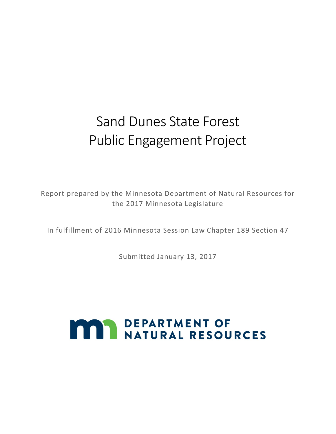## Sand Dunes State Forest Public Engagement Project

Report prepared by the Minnesota Department of Natural Resources for the 2017 Minnesota Legislature

In fulfillment of 2016 Minnesota Session Law Chapter 189 Section 47

Submitted January 13, 2017

# **MAY DEPARTMENT OF NATURAL RESOURCES**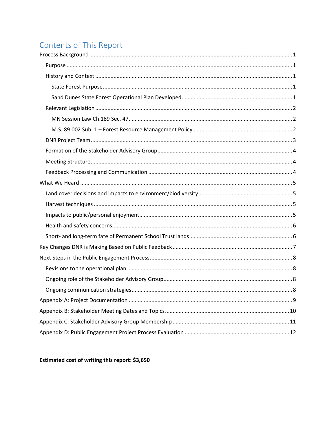## Contents of This Report

<span id="page-1-0"></span>Estimated cost of writing this report: \$3,650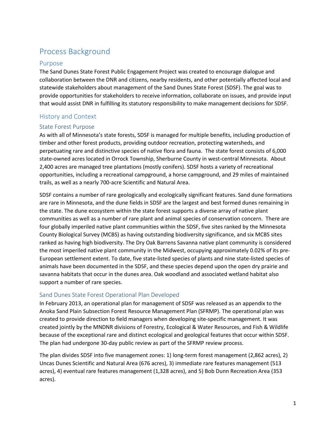## Process Background

#### <span id="page-2-0"></span>Purpose

The Sand Dunes State Forest Public Engagement Project was created to encourage dialogue and collaboration between the DNR and citizens, nearby residents, and other potentially affected local and statewide stakeholders about management of the Sand Dunes State Forest (SDSF). The goal was to provide opportunities for stakeholders to receive information, collaborate on issues, and provide input that would assist DNR in fulfilling its statutory responsibility to make management decisions for SDSF.

#### <span id="page-2-1"></span>History and Context

#### <span id="page-2-2"></span>State Forest Purpose

As with all of Minnesota's state forests, SDSF is managed for multiple benefits, including production of timber and other forest products, providing outdoor recreation, protecting watersheds, and perpetuating rare and distinctive species of native flora and fauna. The state forest consists of 6,000 state-owned acres located in Orrock Township, Sherburne County in west-central Minnesota. About 2,400 acres are managed tree plantations (mostly conifers). SDSF hosts a variety of recreational opportunities, including a recreational campground, a horse campground, and 29 miles of maintained trails, as well as a nearly 700-acre Scientific and Natural Area.

SDSF contains a number of rare geologically and ecologically significant features. Sand dune formations are rare in Minnesota, and the dune fields in SDSF are the largest and best formed dunes remaining in the state. The dune ecosystem within the state forest supports a diverse array of native plant communities as well as a number of rare plant and animal species of conservation concern. There are four globally imperiled native plant communities within the SDSF, five sites ranked by the Minnesota County Biological Survey (MCBS) as having outstanding biodiversity significance, and six MCBS sites ranked as having high biodiversity. The Dry Oak Barrens Savanna native plant community is considered the most imperiled native plant community in the Midwest, occupying approximately 0.02% of its pre-European settlement extent. To date, five state-listed species of plants and nine state-listed species of animals have been documented in the SDSF, and these species depend upon the open dry prairie and savanna habitats that occur in the dunes area. Oak woodland and associated wetland habitat also support a number of rare species.

#### <span id="page-2-3"></span>Sand Dunes State Forest Operational Plan Developed

In February 2013, an operational plan for management of SDSF was released as an appendix to the Anoka Sand Plain Subsection Forest Resource Management Plan (SFRMP). The operational plan was created to provide direction to field managers when developing site-specific management. It was created jointly by the MNDNR divisions of Forestry, Ecological & Water Resources, and Fish & Wildlife because of the exceptional rare and distinct ecological and geological features that occur within SDSF. The plan had undergone 30-day public review as part of the SFRMP review process.

The plan divides SDSF into five management zones: 1) long-term forest management (2,862 acres), 2) Uncas Dunes Scientific and Natural Area (676 acres), 3) immediate rare features management (513 acres), 4) eventual rare features management (1,328 acres), and 5) Bob Dunn Recreation Area (353 acres).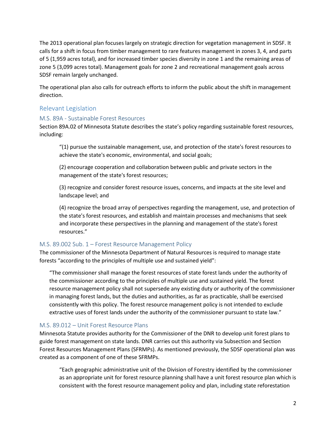The 2013 operational plan focuses largely on strategic direction for vegetation management in SDSF. It calls for a shift in focus from timber management to rare features management in zones 3, 4, and parts of 5 (1,959 acres total), and for increased timber species diversity in zone 1 and the remaining areas of zone 5 (3,099 acres total). Management goals for zone 2 and recreational management goals across SDSF remain largely unchanged.

The operational plan also calls for outreach efforts to inform the public about the shift in management direction.

#### <span id="page-3-0"></span>Relevant Legislation

#### <span id="page-3-1"></span>M.S. 89A - Sustainable Forest Resources

Section 89A.02 of Minnesota Statute describes the state's policy regarding sustainable forest resources, including:

"(1) pursue the sustainable management, use, and protection of the state's forest resources to achieve the state's economic, environmental, and social goals;

(2) encourage cooperation and collaboration between public and private sectors in the management of the state's forest resources;

(3) recognize and consider forest resource issues, concerns, and impacts at the site level and landscape level; and

(4) recognize the broad array of perspectives regarding the management, use, and protection of the state's forest resources, and establish and maintain processes and mechanisms that seek and incorporate these perspectives in the planning and management of the state's forest resources."

#### <span id="page-3-2"></span>M.S. 89.002 Sub. 1 – Forest Resource Management Policy

The commissioner of the Minnesota Department of Natural Resources is required to manage state forests "according to the principles of multiple use and sustained yield":

"The commissioner shall manage the forest resources of state forest lands under the authority of the commissioner according to the principles of multiple use and sustained yield. The forest resource management policy shall not supersede any existing duty or authority of the commissioner in managing forest lands, but the duties and authorities, as far as practicable, shall be exercised consistently with this policy. The forest resource management policy is not intended to exclude extractive uses of forest lands under the authority of the commissioner pursuant to state law."

#### M.S. 89.012 – Unit Forest Resource Plans

Minnesota Statute provides authority for the Commissioner of the DNR to develop unit forest plans to guide forest management on state lands. DNR carries out this authority via Subsection and Section Forest Resources Management Plans (SFRMPs). As mentioned previously, the SDSF operational plan was created as a component of one of these SFRMPs.

"Each geographic administrative unit of the Division of Forestry identified by the commissioner as an appropriate unit for forest resource planning shall have a unit forest resource plan which is consistent with the forest resource management policy and plan, including state reforestation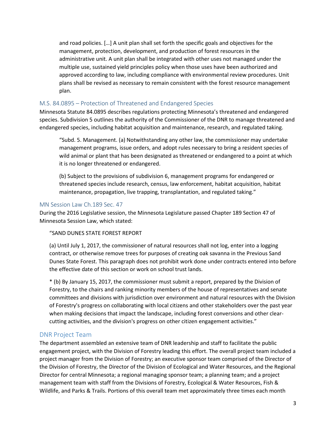and road policies. […] A unit plan shall set forth the specific goals and objectives for the management, protection, development, and production of forest resources in the administrative unit. A unit plan shall be integrated with other uses not managed under the multiple use, sustained yield principles policy when those uses have been authorized and approved according to law, including compliance with environmental review procedures. Unit plans shall be revised as necessary to remain consistent with the forest resource management plan.

#### M.S. 84.0895 – Protection of Threatened and Endangered Species

Minnesota Statute 84.0895 describes regulations protecting Minnesota's threatened and endangered species. Subdivision 5 outlines the authority of the Commissioner of the DNR to manage threatened and endangered species, including habitat acquisition and maintenance, research, and regulated taking.

"Subd. 5. Management. (a) Notwithstanding any other law, the commissioner may undertake management programs, issue orders, and adopt rules necessary to bring a resident species of wild animal or plant that has been designated as threatened or endangered to a point at which it is no longer threatened or endangered.

(b) Subject to the provisions of subdivision 6, management programs for endangered or threatened species include research, census, law enforcement, habitat acquisition, habitat maintenance, propagation, live trapping, transplantation, and regulated taking."

#### MN Session Law Ch.189 Sec. 47

During the 2016 Legislative session, the Minnesota Legislature passed Chapter 189 Section 47 of Minnesota Session Law, which stated:

"SAND DUNES STATE FOREST REPORT

(a) Until July 1, 2017, the commissioner of natural resources shall not log, enter into a logging contract, or otherwise remove trees for purposes of creating oak savanna in the Previous Sand Dunes State Forest. This paragraph does not prohibit work done under contracts entered into before the effective date of this section or work on school trust lands.

\* (b) By January 15, 2017, the commissioner must submit a report, prepared by the Division of Forestry, to the chairs and ranking minority members of the house of representatives and senate committees and divisions with jurisdiction over environment and natural resources with the Division of Forestry's progress on collaborating with local citizens and other stakeholders over the past year when making decisions that impact the landscape, including forest conversions and other clearcutting activities, and the division's progress on other citizen engagement activities."

#### <span id="page-4-0"></span>DNR Project Team

The department assembled an extensive team of DNR leadership and staff to facilitate the public engagement project, with the Division of Forestry leading this effort. The overall project team included a project manager from the Division of Forestry; an executive sponsor team comprised of the Director of the Division of Forestry, the Director of the Division of Ecological and Water Resources, and the Regional Director for central Minnesota; a regional managing sponsor team; a planning team; and a project management team with staff from the Divisions of Forestry, Ecological & Water Resources, Fish & Wildlife, and Parks & Trails. Portions of this overall team met approximately three times each month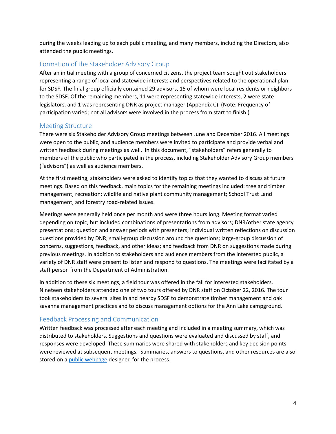during the weeks leading up to each public meeting, and many members, including the Directors, also attended the public meetings.

#### <span id="page-5-0"></span>Formation of the Stakeholder Advisory Group

After an initial meeting with a group of concerned citizens, the project team sought out stakeholders representing a range of local and statewide interests and perspectives related to the operational plan for SDSF. The final group officially contained 29 advisors, 15 of whom were local residents or neighbors to the SDSF. Of the remaining members, 11 were representing statewide interests, 2 were state legislators, and 1 was representing DNR as project manager (Appendix C). (Note: Frequency of participation varied; not all advisors were involved in the process from start to finish.)

#### <span id="page-5-1"></span>Meeting Structure

There were six Stakeholder Advisory Group meetings between June and December 2016. All meetings were open to the public, and audience members were invited to participate and provide verbal and written feedback during meetings as well. In this document, "stakeholders" refers generally to members of the public who participated in the process, including Stakeholder Advisory Group members ("advisors") as well as audience members.

At the first meeting, stakeholders were asked to identify topics that they wanted to discuss at future meetings. Based on this feedback, main topics for the remaining meetings included: tree and timber management; recreation; wildlife and native plant community management; School Trust Land management; and forestry road-related issues.

Meetings were generally held once per month and were three hours long. Meeting format varied depending on topic, but included combinations of presentations from advisors; DNR/other state agency presentations; question and answer periods with presenters; individual written reflections on discussion questions provided by DNR; small-group discussion around the questions; large-group discussion of concerns, suggestions, feedback, and other ideas; and feedback from DNR on suggestions made during previous meetings. In addition to stakeholders and audience members from the interested public, a variety of DNR staff were present to listen and respond to questions. The meetings were facilitated by a staff person from the Department of Administration.

In addition to these six meetings, a field tour was offered in the fall for interested stakeholders. Nineteen stakeholders attended one of two tours offered by DNR staff on October 22, 2016. The tour took stakeholders to several sites in and nearby SDSF to demonstrate timber management and oak savanna management practices and to discuss management options for the Ann Lake campground.

#### <span id="page-5-2"></span>Feedback Processing and Communication

Written feedback was processed after each meeting and included in a meeting summary, which was distributed to stakeholders. Suggestions and questions were evaluated and discussed by staff, and responses were developed. These summaries were shared with stakeholders and key decision points were reviewed at subsequent meetings. Summaries, answers to questions, and other resources are also stored on a [public webpage](http://dnr.state.mn.us/forestry/sand-dunes/index.html) designed for the process.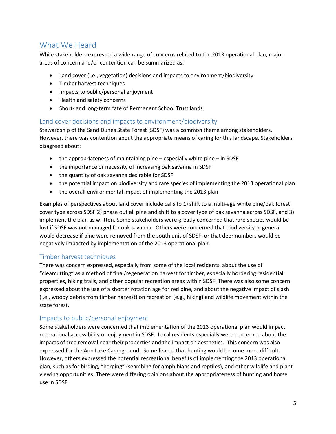## <span id="page-6-0"></span>What We Heard

While stakeholders expressed a wide range of concerns related to the 2013 operational plan, major areas of concern and/or contention can be summarized as:

- Land cover (i.e., vegetation) decisions and impacts to environment/biodiversity
- Timber harvest techniques
- Impacts to public/personal enjoyment
- Health and safety concerns
- Short- and long-term fate of Permanent School Trust lands

#### <span id="page-6-1"></span>Land cover decisions and impacts to environment/biodiversity

Stewardship of the Sand Dunes State Forest (SDSF) was a common theme among stakeholders. However, there was contention about the appropriate means of caring for this landscape. Stakeholders disagreed about:

- the appropriateness of maintaining pine especially white pine in SDSF
- the importance or necessity of increasing oak savanna in SDSF
- the quantity of oak savanna desirable for SDSF
- the potential impact on biodiversity and rare species of implementing the 2013 operational plan
- the overall environmental impact of implementing the 2013 plan

Examples of perspectives about land cover include calls to 1) shift to a multi-age white pine/oak forest cover type across SDSF 2) phase out all pine and shift to a cover type of oak savanna across SDSF, and 3) implement the plan as written. Some stakeholders were greatly concerned that rare species would be lost if SDSF was not managed for oak savanna. Others were concerned that biodiversity in general would decrease if pine were removed from the south unit of SDSF, or that deer numbers would be negatively impacted by implementation of the 2013 operational plan.

#### <span id="page-6-2"></span>Timber harvest techniques

There was concern expressed, especially from some of the local residents, about the use of "clearcutting" as a method of final/regeneration harvest for timber, especially bordering residential properties, hiking trails, and other popular recreation areas within SDSF. There was also some concern expressed about the use of a shorter rotation age for red pine, and about the negative impact of slash (i.e., woody debris from timber harvest) on recreation (e.g., hiking) and wildlife movement within the state forest.

#### <span id="page-6-3"></span>Impacts to public/personal enjoyment

Some stakeholders were concerned that implementation of the 2013 operational plan would impact recreational accessibility or enjoyment in SDSF. Local residents especially were concerned about the impacts of tree removal near their properties and the impact on aesthetics. This concern was also expressed for the Ann Lake Campground. Some feared that hunting would become more difficult. However, others expressed the potential recreational benefits of implementing the 2013 operational plan, such as for birding, "herping" (searching for amphibians and reptiles), and other wildlife and plant viewing opportunities. There were differing opinions about the appropriateness of hunting and horse use in SDSF.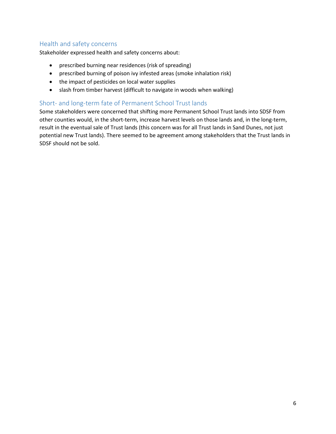#### <span id="page-7-0"></span>Health and safety concerns

Stakeholder expressed health and safety concerns about:

- prescribed burning near residences (risk of spreading)
- prescribed burning of poison ivy infested areas (smoke inhalation risk)
- the impact of pesticides on local water supplies
- slash from timber harvest (difficult to navigate in woods when walking)

#### <span id="page-7-1"></span>Short- and long-term fate of Permanent School Trust lands

Some stakeholders were concerned that shifting more Permanent School Trust lands into SDSF from other counties would, in the short-term, increase harvest levels on those lands and, in the long-term, result in the eventual sale of Trust lands (this concern was for all Trust lands in Sand Dunes, not just potential new Trust lands). There seemed to be agreement among stakeholders that the Trust lands in SDSF should not be sold.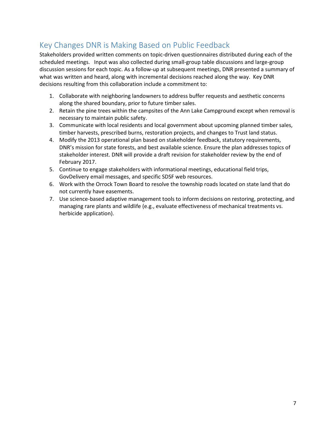## <span id="page-8-0"></span>Key Changes DNR is Making Based on Public Feedback

Stakeholders provided written comments on topic-driven questionnaires distributed during each of the scheduled meetings. Input was also collected during small-group table discussions and large-group discussion sessions for each topic. As a follow-up at subsequent meetings, DNR presented a summary of what was written and heard, along with incremental decisions reached along the way. Key DNR decisions resulting from this collaboration include a commitment to:

- 1. Collaborate with neighboring landowners to address buffer requests and aesthetic concerns along the shared boundary, prior to future timber sales.
- 2. Retain the pine trees within the campsites of the Ann Lake Campground except when removal is necessary to maintain public safety.
- 3. Communicate with local residents and local government about upcoming planned timber sales, timber harvests, prescribed burns, restoration projects, and changes to Trust land status.
- 4. Modify the 2013 operational plan based on stakeholder feedback, statutory requirements, DNR's mission for state forests, and best available science. Ensure the plan addresses topics of stakeholder interest. DNR will provide a draft revision for stakeholder review by the end of February 2017.
- 5. Continue to engage stakeholders with informational meetings, educational field trips, GovDelivery email messages, and specific SDSF web resources.
- 6. Work with the Orrock Town Board to resolve the township roads located on state land that do not currently have easements.
- 7. Use science-based adaptive management tools to inform decisions on restoring, protecting, and managing rare plants and wildlife (e.g., evaluate effectiveness of mechanical treatments vs. herbicide application).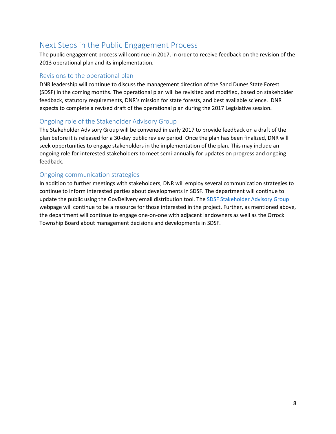## <span id="page-9-0"></span>Next Steps in the Public Engagement Process

The public engagement process will continue in 2017, in order to receive feedback on the revision of the 2013 operational plan and its implementation.

#### <span id="page-9-1"></span>Revisions to the operational plan

DNR leadership will continue to discuss the management direction of the Sand Dunes State Forest (SDSF) in the coming months. The operational plan will be revisited and modified, based on stakeholder feedback, statutory requirements, DNR's mission for state forests, and best available science. DNR expects to complete a revised draft of the operational plan during the 2017 Legislative session.

#### <span id="page-9-2"></span>Ongoing role of the Stakeholder Advisory Group

The Stakeholder Advisory Group will be convened in early 2017 to provide feedback on a draft of the plan before it is released for a 30-day public review period. Once the plan has been finalized, DNR will seek opportunities to engage stakeholders in the implementation of the plan. This may include an ongoing role for interested stakeholders to meet semi-annually for updates on progress and ongoing feedback.

#### <span id="page-9-3"></span>Ongoing communication strategies

In addition to further meetings with stakeholders, DNR will employ several communication strategies to continue to inform interested parties about developments in SDSF. The department will continue to update the public using the GovDelivery email distribution tool. The [SDSF Stakeholder Advisory Group](http://dnr.state.mn.us/forestry/sand-dunes/index.html) webpage will continue to be a resource for those interested in the project. Further, as mentioned above, the department will continue to engage one-on-one with adjacent landowners as well as the Orrock Township Board about management decisions and developments in SDSF.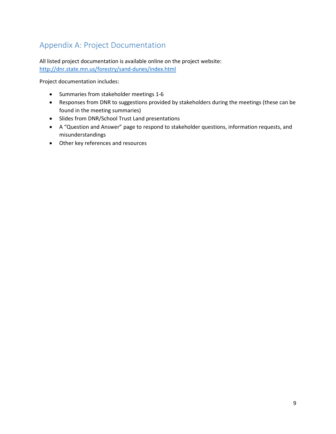## <span id="page-10-0"></span>Appendix A: Project Documentation

All listed project documentation is available online on the project website: <http://dnr.state.mn.us/forestry/sand-dunes/index.html>

Project documentation includes:

- Summaries from stakeholder meetings 1-6
- Responses from DNR to suggestions provided by stakeholders during the meetings (these can be found in the meeting summaries)
- Slides from DNR/School Trust Land presentations
- A "Question and Answer" page to respond to stakeholder questions, information requests, and misunderstandings
- Other key references and resources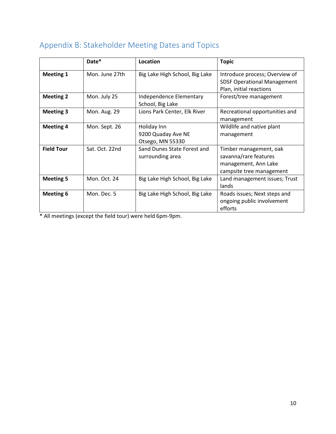|                   | Date*          | Location                                              | <b>Topic</b>                                                                                        |
|-------------------|----------------|-------------------------------------------------------|-----------------------------------------------------------------------------------------------------|
| <b>Meeting 1</b>  | Mon. June 27th | Big Lake High School, Big Lake                        | Introduce process; Overview of<br><b>SDSF Operational Management</b><br>Plan, initial reactions     |
| <b>Meeting 2</b>  | Mon. July 25   | Independence Elementary<br>School, Big Lake           | Forest/tree management                                                                              |
| <b>Meeting 3</b>  | Mon. Aug. 29   | Lions Park Center, Elk River                          | Recreational opportunities and<br>management                                                        |
| <b>Meeting 4</b>  | Mon. Sept. 26  | Holiday Inn<br>9200 Quaday Ave NE<br>Otsego, MN 55330 | Wildlife and native plant<br>management                                                             |
| <b>Field Tour</b> | Sat. Oct. 22nd | Sand Dunes State Forest and<br>surrounding area       | Timber management, oak<br>savanna/rare features<br>management, Ann Lake<br>campsite tree management |
| <b>Meeting 5</b>  | Mon. Oct. 24   | Big Lake High School, Big Lake                        | Land management issues; Trust<br>lands                                                              |
| <b>Meeting 6</b>  | Mon. Dec. 5    | Big Lake High School, Big Lake                        | Roads issues; Next steps and<br>ongoing public involvement<br>efforts                               |

## <span id="page-11-0"></span>Appendix B: Stakeholder Meeting Dates and Topics

\* All meetings (except the field tour) were held 6pm-9pm.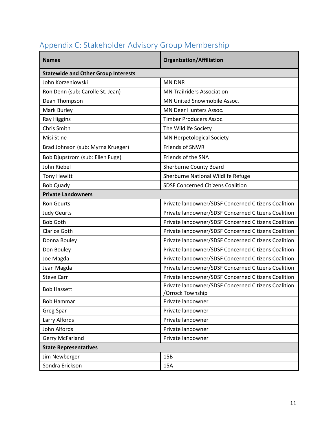| <b>Names</b>                               | <b>Organization/Affiliation</b>                                         |  |  |  |
|--------------------------------------------|-------------------------------------------------------------------------|--|--|--|
| <b>Statewide and Other Group Interests</b> |                                                                         |  |  |  |
| John Korzeniowski                          | <b>MN DNR</b>                                                           |  |  |  |
| Ron Denn (sub: Carolle St. Jean)           | <b>MN Trailriders Association</b>                                       |  |  |  |
| Dean Thompson                              | MN United Snowmobile Assoc.                                             |  |  |  |
| Mark Burley                                | <b>MN Deer Hunters Assoc.</b>                                           |  |  |  |
| Ray Higgins                                | Timber Producers Assoc.                                                 |  |  |  |
| Chris Smith                                | The Wildlife Society                                                    |  |  |  |
| Misi Stine                                 | MN Herpetological Society                                               |  |  |  |
| Brad Johnson (sub: Myrna Krueger)          | Friends of SNWR                                                         |  |  |  |
| Bob Djupstrom (sub: Ellen Fuge)            | Friends of the SNA                                                      |  |  |  |
| John Riebel                                | Sherburne County Board                                                  |  |  |  |
| <b>Tony Hewitt</b>                         | Sherburne National Wildlife Refuge                                      |  |  |  |
| <b>Bob Quady</b>                           | <b>SDSF Concerned Citizens Coalition</b>                                |  |  |  |
| <b>Private Landowners</b>                  |                                                                         |  |  |  |
| <b>Ron Geurts</b>                          | Private landowner/SDSF Concerned Citizens Coalition                     |  |  |  |
| <b>Judy Geurts</b>                         | Private landowner/SDSF Concerned Citizens Coalition                     |  |  |  |
| <b>Bob Goth</b>                            | Private landowner/SDSF Concerned Citizens Coalition                     |  |  |  |
| <b>Clarice Goth</b>                        | Private landowner/SDSF Concerned Citizens Coalition                     |  |  |  |
| Donna Bouley                               | Private landowner/SDSF Concerned Citizens Coalition                     |  |  |  |
| Don Bouley                                 | Private landowner/SDSF Concerned Citizens Coalition                     |  |  |  |
| Joe Magda                                  | Private landowner/SDSF Concerned Citizens Coalition                     |  |  |  |
| Jean Magda                                 | Private landowner/SDSF Concerned Citizens Coalition                     |  |  |  |
| <b>Steve Carr</b>                          | Private landowner/SDSF Concerned Citizens Coalition                     |  |  |  |
| <b>Bob Hassett</b>                         | Private landowner/SDSF Concerned Citizens Coalition<br>/Orrock Township |  |  |  |
| <b>Bob Hammar</b>                          | Private landowner                                                       |  |  |  |
| Greg Spar                                  | Private landowner                                                       |  |  |  |
| Larry Alfords                              | Private landowner                                                       |  |  |  |
| John Alfords                               | Private landowner                                                       |  |  |  |
| Gerry McFarland                            | Private landowner                                                       |  |  |  |
| <b>State Representatives</b>               |                                                                         |  |  |  |
| Jim Newberger                              | 15B                                                                     |  |  |  |
| Sondra Erickson                            | 15A                                                                     |  |  |  |

## <span id="page-12-0"></span>Appendix C: Stakeholder Advisory Group Membership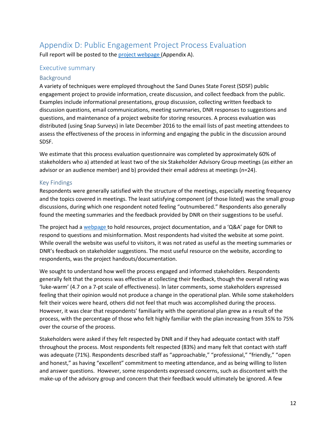## <span id="page-13-0"></span>Appendix D: Public Engagement Project Process Evaluation

Full report will be posted to the [project webpage](http://dnr.state.mn.us/forestry/sand-dunes/index.html) (Appendix A).

#### Executive summary

#### Background

A variety of techniques were employed throughout the Sand Dunes State Forest (SDSF) public engagement project to provide information, create discussion, and collect feedback from the public. Examples include informational presentations, group discussion, collecting written feedback to discussion questions, email communications, meeting summaries, DNR responses to suggestions and questions, and maintenance of a project website for storing resources. A process evaluation was distributed (using Snap Surveys) in late December 2016 to the email lists of past meeting attendees to assess the effectiveness of the process in informing and engaging the public in the discussion around SDSF.

We estimate that this process evaluation questionnaire was completed by approximately 60% of stakeholders who a) attended at least two of the six Stakeholder Advisory Group meetings (as either an advisor or an audience member) and b) provided their email address at meetings (n=24).

#### Key Findings

Respondents were generally satisfied with the structure of the meetings, especially meeting frequency and the topics covered in meetings. The least satisfying component (of those listed) was the small group discussions, during which one respondent noted feeling "outnumbered." Respondents also generally found the meeting summaries and the feedback provided by DNR on their suggestions to be useful.

The project had [a webpage t](http://dnr.state.mn.us/forestry/sand-dunes/index.html)o hold resources, project documentation, and a 'Q&A' page for DNR to respond to questions and misinformation. Most respondents had visited the website at some point. While overall the website was useful to visitors, it was not rated as useful as the meeting summaries or DNR's feedback on stakeholder suggestions. The most useful resource on the website, according to respondents, was the project handouts/documentation.

We sought to understand how well the process engaged and informed stakeholders. Respondents generally felt that the process was effective at collecting their feedback, though the overall rating was 'luke-warm' (4.7 on a 7-pt scale of effectiveness). In later comments, some stakeholders expressed feeling that their opinion would not produce a change in the operational plan. While some stakeholders felt their voices were heard, others did not feel that much was accomplished during the process. However, it was clear that respondents' familiarity with the operational plan grew as a result of the process, with the percentage of those who felt highly familiar with the plan increasing from 35% to 75% over the course of the process.

Stakeholders were asked if they felt respected by DNR and if they had adequate contact with staff throughout the process. Most respondents felt respected (83%) and many felt that contact with staff was adequate (71%). Respondents described staff as "approachable," "professional," "friendly," "open and honest," as having "excellent" commitment to meeting attendance, and as being willing to listen and answer questions. However, some respondents expressed concerns, such as discontent with the make-up of the advisory group and concern that their feedback would ultimately be ignored. A few